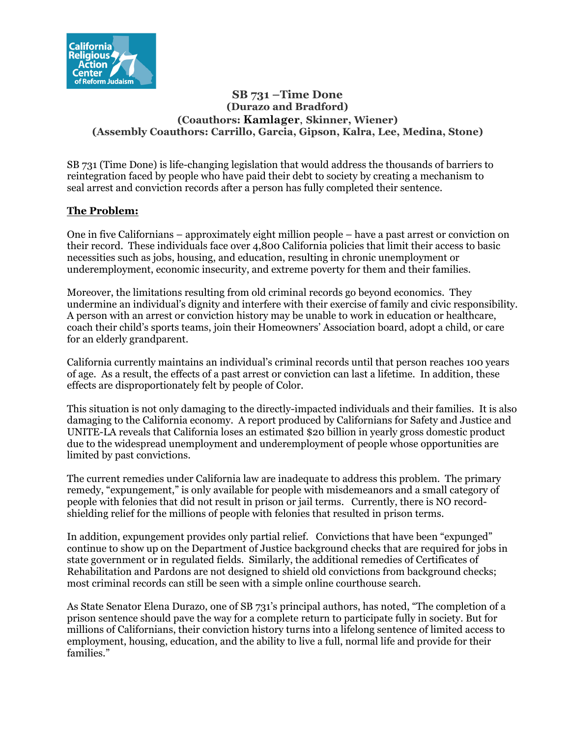

### **SB 731 –Time Done (Durazo and Bradford) (Coauthors: Kamlager**, **Skinner, Wiener) (Assembly Coauthors: Carrillo, Garcia, Gipson, Kalra, Lee, Medina, Stone)**

SB 731 (Time Done) is life-changing legislation that would address the thousands of barriers to reintegration faced by people who have paid their debt to society by creating a mechanism to seal arrest and conviction records after a person has fully completed their sentence.

## **The Problem:**

One in five Californians – approximately eight million people – have a past arrest or conviction on their record. These individuals face over 4,800 California policies that limit their access to basic necessities such as jobs, housing, and education, resulting in chronic unemployment or underemployment, economic insecurity, and extreme poverty for them and their families.

Moreover, the limitations resulting from old criminal records go beyond economics. They undermine an individual's dignity and interfere with their exercise of family and civic responsibility. A person with an arrest or conviction history may be unable to work in education or healthcare, coach their child's sports teams, join their Homeowners' Association board, adopt a child, or care for an elderly grandparent.

California currently maintains an individual's criminal records until that person reaches 100 years of age. As a result, the effects of a past arrest or conviction can last a lifetime. In addition, these effects are disproportionately felt by people of Color.

This situation is not only damaging to the directly-impacted individuals and their families. It is also damaging to the California economy. A report produced by Californians for Safety and Justice and UNITE-LA reveals that California loses an estimated \$20 billion in yearly gross domestic product due to the widespread unemployment and underemployment of people whose opportunities are limited by past convictions.

The current remedies under California law are inadequate to address this problem. The primary remedy, "expungement," is only available for people with misdemeanors and a small category of people with felonies that did not result in prison or jail terms. Currently, there is NO recordshielding relief for the millions of people with felonies that resulted in prison terms.

In addition, expungement provides only partial relief. Convictions that have been "expunged" continue to show up on the Department of Justice background checks that are required for jobs in state government or in regulated fields. Similarly, the additional remedies of Certificates of Rehabilitation and Pardons are not designed to shield old convictions from background checks; most criminal records can still be seen with a simple online courthouse search.

As State Senator Elena Durazo, one of SB 731's principal authors, has noted, "The completion of a prison sentence should pave the way for a complete return to participate fully in society. But for millions of Californians, their conviction history turns into a lifelong sentence of limited access to employment, housing, education, and the ability to live a full, normal life and provide for their families."